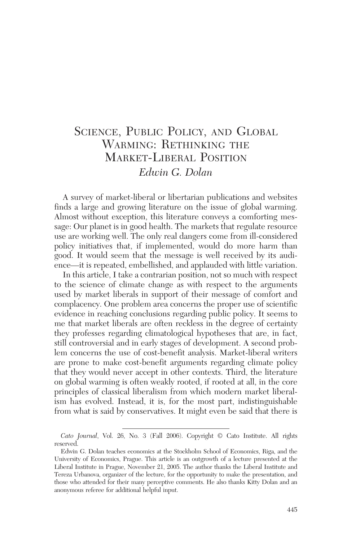# SCIENCE, PUBLIC POLICY, AND GLOBAL WARMING: RETHINKING THE MARKET-LIBERAL POSITION *Edwin G. Dolan*

A survey of market-liberal or libertarian publications and websites finds a large and growing literature on the issue of global warming. Almost without exception, this literature conveys a comforting message: Our planet is in good health. The markets that regulate resource use are working well. The only real dangers come from ill-considered policy initiatives that, if implemented, would do more harm than good. It would seem that the message is well received by its audience—it is repeated, embellished, and applauded with little variation.

In this article, I take a contrarian position, not so much with respect to the science of climate change as with respect to the arguments used by market liberals in support of their message of comfort and complacency. One problem area concerns the proper use of scientific evidence in reaching conclusions regarding public policy. It seems to me that market liberals are often reckless in the degree of certainty they professes regarding climatological hypotheses that are, in fact, still controversial and in early stages of development. A second problem concerns the use of cost-benefit analysis. Market-liberal writers are prone to make cost-benefit arguments regarding climate policy that they would never accept in other contexts. Third, the literature on global warming is often weakly rooted, if rooted at all, in the core principles of classical liberalism from which modern market liberalism has evolved. Instead, it is, for the most part, indistinguishable from what is said by conservatives. It might even be said that there is

*Cato Journal*, Vol. 26, No. 3 (Fall 2006). Copyright © Cato Institute. All rights reserved.

Edwin G. Dolan teaches economics at the Stockholm School of Economics, Riga, and the University of Economics, Prague. This article is an outgrowth of a lecture presented at the Liberal Institute in Prague, November 21, 2005. The author thanks the Liberal Institute and Tereza Urbanova, organizer of the lecture, for the opportunity to make the presentation, and those who attended for their many perceptive comments. He also thanks Kitty Dolan and an anonymous referee for additional helpful input.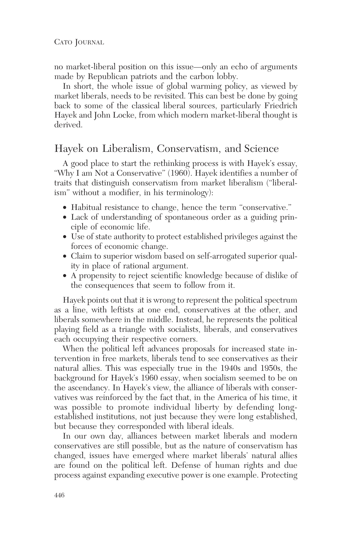no market-liberal position on this issue—only an echo of arguments made by Republican patriots and the carbon lobby.

In short, the whole issue of global warming policy, as viewed by market liberals, needs to be revisited. This can best be done by going back to some of the classical liberal sources, particularly Friedrich Hayek and John Locke, from which modern market-liberal thought is derived.

#### Hayek on Liberalism, Conservatism, and Science

A good place to start the rethinking process is with Hayek's essay, "Why I am Not a Conservative" (1960). Hayek identifies a number of traits that distinguish conservatism from market liberalism ("liberalism" without a modifier, in his terminology):

- Habitual resistance to change, hence the term "conservative."
- Lack of understanding of spontaneous order as a guiding principle of economic life.
- Use of state authority to protect established privileges against the forces of economic change.
- Claim to superior wisdom based on self-arrogated superior quality in place of rational argument.
- A propensity to reject scientific knowledge because of dislike of the consequences that seem to follow from it.

Hayek points out that it is wrong to represent the political spectrum as a line, with leftists at one end, conservatives at the other, and liberals somewhere in the middle. Instead, he represents the political playing field as a triangle with socialists, liberals, and conservatives each occupying their respective corners.

When the political left advances proposals for increased state intervention in free markets, liberals tend to see conservatives as their natural allies. This was especially true in the 1940s and 1950s, the background for Hayek's 1960 essay, when socialism seemed to be on the ascendancy. In Hayek's view, the alliance of liberals with conservatives was reinforced by the fact that, in the America of his time, it was possible to promote individual liberty by defending longestablished institutions, not just because they were long established, but because they corresponded with liberal ideals.

In our own day, alliances between market liberals and modern conservatives are still possible, but as the nature of conservatism has changed, issues have emerged where market liberals' natural allies are found on the political left. Defense of human rights and due process against expanding executive power is one example. Protecting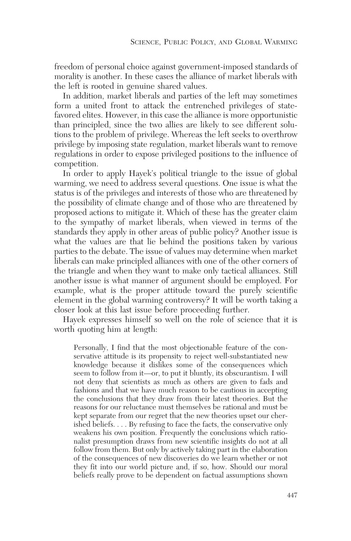freedom of personal choice against government-imposed standards of morality is another. In these cases the alliance of market liberals with the left is rooted in genuine shared values.

In addition, market liberals and parties of the left may sometimes form a united front to attack the entrenched privileges of statefavored elites. However, in this case the alliance is more opportunistic than principled, since the two allies are likely to see different solutions to the problem of privilege. Whereas the left seeks to overthrow privilege by imposing state regulation, market liberals want to remove regulations in order to expose privileged positions to the influence of competition.

In order to apply Hayek's political triangle to the issue of global warming, we need to address several questions. One issue is what the status is of the privileges and interests of those who are threatened by the possibility of climate change and of those who are threatened by proposed actions to mitigate it. Which of these has the greater claim to the sympathy of market liberals, when viewed in terms of the standards they apply in other areas of public policy? Another issue is what the values are that lie behind the positions taken by various parties to the debate. The issue of values may determine when market liberals can make principled alliances with one of the other corners of the triangle and when they want to make only tactical alliances. Still another issue is what manner of argument should be employed. For example, what is the proper attitude toward the purely scientific element in the global warming controversy? It will be worth taking a closer look at this last issue before proceeding further.

Hayek expresses himself so well on the role of science that it is worth quoting him at length:

Personally, I find that the most objectionable feature of the conservative attitude is its propensity to reject well-substantiated new knowledge because it dislikes some of the consequences which seem to follow from it—or, to put it bluntly, its obscurantism. I will not deny that scientists as much as others are given to fads and fashions and that we have much reason to be cautious in accepting the conclusions that they draw from their latest theories. But the reasons for our reluctance must themselves be rational and must be kept separate from our regret that the new theories upset our cherished beliefs. . . . By refusing to face the facts, the conservative only weakens his own position. Frequently the conclusions which rationalist presumption draws from new scientific insights do not at all follow from them. But only by actively taking part in the elaboration of the consequences of new discoveries do we learn whether or not they fit into our world picture and, if so, how. Should our moral beliefs really prove to be dependent on factual assumptions shown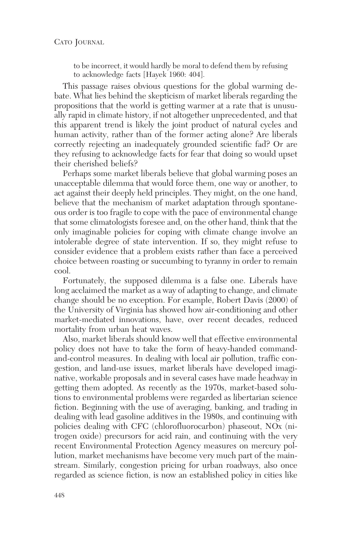to be incorrect, it would hardly be moral to defend them by refusing to acknowledge facts [Hayek 1960: 404].

This passage raises obvious questions for the global warming debate. What lies behind the skepticism of market liberals regarding the propositions that the world is getting warmer at a rate that is unusually rapid in climate history, if not altogether unprecedented, and that this apparent trend is likely the joint product of natural cycles and human activity, rather than of the former acting alone? Are liberals correctly rejecting an inadequately grounded scientific fad? Or are they refusing to acknowledge facts for fear that doing so would upset their cherished beliefs?

Perhaps some market liberals believe that global warming poses an unacceptable dilemma that would force them, one way or another, to act against their deeply held principles. They might, on the one hand, believe that the mechanism of market adaptation through spontaneous order is too fragile to cope with the pace of environmental change that some climatologists foresee and, on the other hand, think that the only imaginable policies for coping with climate change involve an intolerable degree of state intervention. If so, they might refuse to consider evidence that a problem exists rather than face a perceived choice between roasting or succumbing to tyranny in order to remain cool.

Fortunately, the supposed dilemma is a false one. Liberals have long acclaimed the market as a way of adapting to change, and climate change should be no exception. For example, Robert Davis (2000) of the University of Virginia has showed how air-conditioning and other market-mediated innovations, have, over recent decades, reduced mortality from urban heat waves.

Also, market liberals should know well that effective environmental policy does not have to take the form of heavy-handed commandand-control measures. In dealing with local air pollution, traffic congestion, and land-use issues, market liberals have developed imaginative, workable proposals and in several cases have made headway in getting them adopted. As recently as the 1970s, market-based solutions to environmental problems were regarded as libertarian science fiction. Beginning with the use of averaging, banking, and trading in dealing with lead gasoline additives in the 1980s, and continuing with policies dealing with CFC (chlorofluorocarbon) phaseout, NOx (nitrogen oxide) precursors for acid rain, and continuing with the very recent Environmental Protection Agency measures on mercury pollution, market mechanisms have become very much part of the mainstream. Similarly, congestion pricing for urban roadways, also once regarded as science fiction, is now an established policy in cities like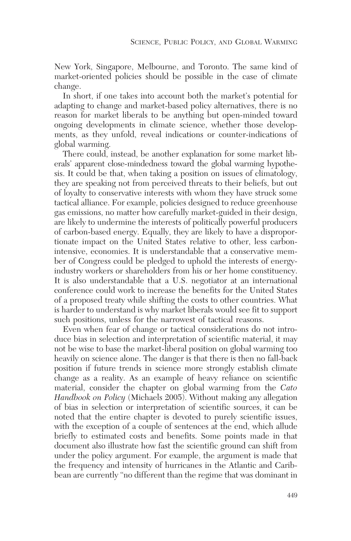New York, Singapore, Melbourne, and Toronto. The same kind of market-oriented policies should be possible in the case of climate change.

In short, if one takes into account both the market's potential for adapting to change and market-based policy alternatives, there is no reason for market liberals to be anything but open-minded toward ongoing developments in climate science, whether those developments, as they unfold, reveal indications or counter-indications of global warming.

There could, instead, be another explanation for some market liberals' apparent close-mindedness toward the global warming hypothesis. It could be that, when taking a position on issues of climatology, they are speaking not from perceived threats to their beliefs, but out of loyalty to conservative interests with whom they have struck some tactical alliance. For example, policies designed to reduce greenhouse gas emissions, no matter how carefully market-guided in their design, are likely to undermine the interests of politically powerful producers of carbon-based energy. Equally, they are likely to have a disproportionate impact on the United States relative to other, less carbonintensive, economies. It is understandable that a conservative member of Congress could be pledged to uphold the interests of energyindustry workers or shareholders from his or her home constituency. It is also understandable that a U.S. negotiator at an international conference could work to increase the benefits for the United States of a proposed treaty while shifting the costs to other countries. What is harder to understand is why market liberals would see fit to support such positions, unless for the narrowest of tactical reasons.

Even when fear of change or tactical considerations do not introduce bias in selection and interpretation of scientific material, it may not be wise to base the market-liberal position on global warming too heavily on science alone. The danger is that there is then no fall-back position if future trends in science more strongly establish climate change as a reality. As an example of heavy reliance on scientific material, consider the chapter on global warming from the *Cato Handbook on Policy* (Michaels 2005). Without making any allegation of bias in selection or interpretation of scientific sources, it can be noted that the entire chapter is devoted to purely scientific issues, with the exception of a couple of sentences at the end, which allude briefly to estimated costs and benefits. Some points made in that document also illustrate how fast the scientific ground can shift from under the policy argument. For example, the argument is made that the frequency and intensity of hurricanes in the Atlantic and Caribbean are currently "no different than the regime that was dominant in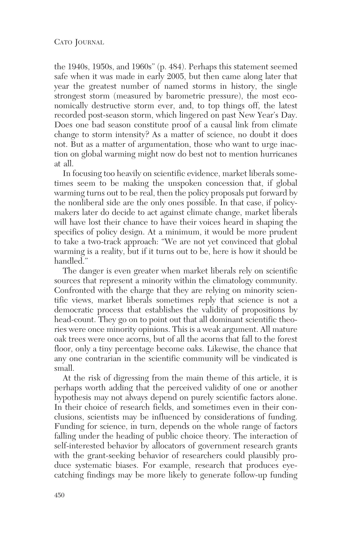#### CATO JOURNAL

the 1940s, 1950s, and 1960s" (p. 484). Perhaps this statement seemed safe when it was made in early 2005, but then came along later that year the greatest number of named storms in history, the single strongest storm (measured by barometric pressure), the most economically destructive storm ever, and, to top things off, the latest recorded post-season storm, which lingered on past New Year's Day. Does one bad season constitute proof of a causal link from climate change to storm intensity? As a matter of science, no doubt it does not. But as a matter of argumentation, those who want to urge inaction on global warming might now do best not to mention hurricanes at all.

In focusing too heavily on scientific evidence, market liberals sometimes seem to be making the unspoken concession that, if global warming turns out to be real, then the policy proposals put forward by the nonliberal side are the only ones possible. In that case, if policymakers later do decide to act against climate change, market liberals will have lost their chance to have their voices heard in shaping the specifics of policy design. At a minimum, it would be more prudent to take a two-track approach: "We are not yet convinced that global warming is a reality, but if it turns out to be, here is how it should be handled."

The danger is even greater when market liberals rely on scientific sources that represent a minority within the climatology community. Confronted with the charge that they are relying on minority scientific views, market liberals sometimes reply that science is not a democratic process that establishes the validity of propositions by head-count. They go on to point out that all dominant scientific theories were once minority opinions. This is a weak argument. All mature oak trees were once acorns, but of all the acorns that fall to the forest floor, only a tiny percentage become oaks. Likewise, the chance that any one contrarian in the scientific community will be vindicated is small.

At the risk of digressing from the main theme of this article, it is perhaps worth adding that the perceived validity of one or another hypothesis may not always depend on purely scientific factors alone. In their choice of research fields, and sometimes even in their conclusions, scientists may be influenced by considerations of funding. Funding for science, in turn, depends on the whole range of factors falling under the heading of public choice theory. The interaction of self-interested behavior by allocators of government research grants with the grant-seeking behavior of researchers could plausibly produce systematic biases. For example, research that produces eyecatching findings may be more likely to generate follow-up funding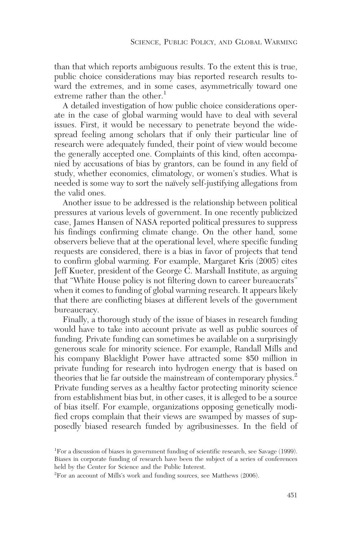than that which reports ambiguous results. To the extent this is true, public choice considerations may bias reported research results toward the extremes, and in some cases, asymmetrically toward one extreme rather than the other.<sup>1</sup>

A detailed investigation of how public choice considerations operate in the case of global warming would have to deal with several issues. First, it would be necessary to penetrate beyond the widespread feeling among scholars that if only their particular line of research were adequately funded, their point of view would become the generally accepted one. Complaints of this kind, often accompanied by accusations of bias by grantors, can be found in any field of study, whether economics, climatology, or women's studies. What is needed is some way to sort the naïvely self-justifying allegations from the valid ones.

Another issue to be addressed is the relationship between political pressures at various levels of government. In one recently publicized case, James Hansen of NASA reported political pressures to suppress his findings confirming climate change. On the other hand, some observers believe that at the operational level, where specific funding requests are considered, there is a bias in favor of projects that tend to confirm global warming. For example, Margaret Kris (2005) cites Jeff Kueter, president of the George C. Marshall Institute, as arguing that "White House policy is not filtering down to career bureaucrats" when it comes to funding of global warming research. It appears likely that there are conflicting biases at different levels of the government bureaucracy.

Finally, a thorough study of the issue of biases in research funding would have to take into account private as well as public sources of funding. Private funding can sometimes be available on a surprisingly generous scale for minority science. For example, Randall Mills and his company Blacklight Power have attracted some \$50 million in private funding for research into hydrogen energy that is based on theories that lie far outside the mainstream of contemporary physics.<sup>2</sup> Private funding serves as a healthy factor protecting minority science from establishment bias but, in other cases, it is alleged to be a source of bias itself. For example, organizations opposing genetically modified crops complain that their views are swamped by masses of supposedly biased research funded by agribusinesses. In the field of

<sup>&</sup>lt;sup>1</sup>For a discussion of biases in government funding of scientific research, see Savage (1999). Biases in corporate funding of research have been the subject of a series of conferences held by the Center for Science and the Public Interest.

<sup>2</sup> For an account of Mills's work and funding sources, see Matthews (2006).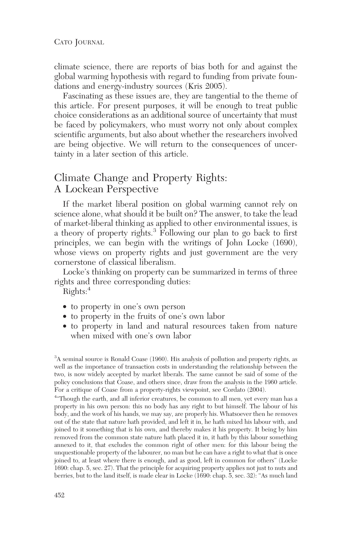climate science, there are reports of bias both for and against the global warming hypothesis with regard to funding from private foundations and energy-industry sources (Kris 2005).

Fascinating as these issues are, they are tangential to the theme of this article. For present purposes, it will be enough to treat public choice considerations as an additional source of uncertainty that must be faced by policymakers, who must worry not only about complex scientific arguments, but also about whether the researchers involved are being objective. We will return to the consequences of uncertainty in a later section of this article.

### Climate Change and Property Rights: A Lockean Perspective

If the market liberal position on global warming cannot rely on science alone, what should it be built on? The answer, to take the lead of market-liberal thinking as applied to other environmental issues, is a theory of property rights.3 Following our plan to go back to first principles, we can begin with the writings of John Locke (1690), whose views on property rights and just government are the very cornerstone of classical liberalism.

Locke's thinking on property can be summarized in terms of three rights and three corresponding duties:

Rights:<sup>4</sup>

- to property in one's own person
- to property in the fruits of one's own labor
- to property in land and natural resources taken from nature when mixed with one's own labor

<sup>3</sup>A seminal source is Ronald Coase (1960). His analysis of pollution and property rights, as well as the importance of transaction costs in understanding the relationship between the two, is now widely accepted by market liberals. The same cannot be said of some of the policy conclusions that Coase, and others since, draw from the analysis in the 1960 article. For a critique of Coase from a property-rights viewpoint, see Cordato (2004).

4 "Though the earth, and all inferior creatures, be common to all men, yet every man has a property in his own person: this no body has any right to but himself. The labour of his body, and the work of his hands, we may say, are properly his. Whatsoever then he removes out of the state that nature hath provided, and left it in, he hath mixed his labour with, and joined to it something that is his own, and thereby makes it his property. It being by him removed from the common state nature hath placed it in, it hath by this labour something annexed to it, that excludes the common right of other men: for this labour being the unquestionable property of the labourer, no man but he can have a right to what that is once joined to, at least where there is enough, and as good, left in common for others" (Locke 1690: chap. 5, sec. 27). That the principle for acquiring property applies not just to nuts and berries, but to the land itself, is made clear in Locke (1690: chap. 5, sec. 32): "As much land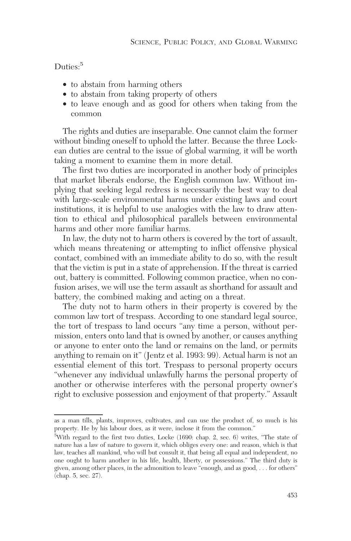Duties:<sup>5</sup>

- to abstain from harming others
- to abstain from taking property of others
- to leave enough and as good for others when taking from the common

The rights and duties are inseparable. One cannot claim the former without binding oneself to uphold the latter. Because the three Lockean duties are central to the issue of global warming, it will be worth taking a moment to examine them in more detail.

The first two duties are incorporated in another body of principles that market liberals endorse, the English common law. Without implying that seeking legal redress is necessarily the best way to deal with large-scale environmental harms under existing laws and court institutions, it is helpful to use analogies with the law to draw attention to ethical and philosophical parallels between environmental harms and other more familiar harms.

In law, the duty not to harm others is covered by the tort of assault, which means threatening or attempting to inflict offensive physical contact, combined with an immediate ability to do so, with the result that the victim is put in a state of apprehension. If the threat is carried out, battery is committed. Following common practice, when no confusion arises, we will use the term assault as shorthand for assault and battery, the combined making and acting on a threat.

The duty not to harm others in their property is covered by the common law tort of trespass. According to one standard legal source, the tort of trespass to land occurs "any time a person, without permission, enters onto land that is owned by another, or causes anything or anyone to enter onto the land or remains on the land, or permits anything to remain on it" (Jentz et al. 1993: 99). Actual harm is not an essential element of this tort. Trespass to personal property occurs "whenever any individual unlawfully harms the personal property of another or otherwise interferes with the personal property owner's right to exclusive possession and enjoyment of that property." Assault

as a man tills, plants, improves, cultivates, and can use the product of, so much is his property. He by his labour does, as it were, inclose it from the common."

<sup>5</sup> With regard to the first two duties, Locke (1690: chap. 2, sec. 6) writes, "The state of nature has a law of nature to govern it, which obliges every one: and reason, which is that law, teaches all mankind, who will but consult it, that being all equal and independent, no one ought to harm another in his life, health, liberty, or possessions." The third duty is given, among other places, in the admonition to leave "enough, and as good, . . . for others" (chap. 5, sec. 27).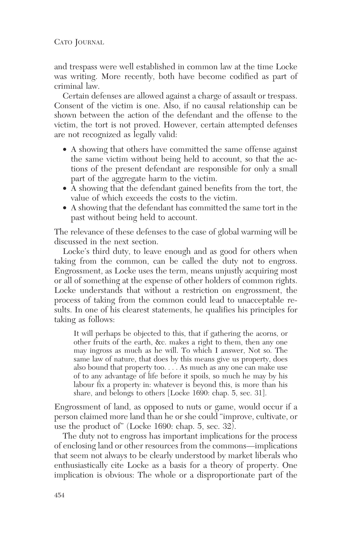CATO JOURNAL

and trespass were well established in common law at the time Locke was writing. More recently, both have become codified as part of criminal law.

Certain defenses are allowed against a charge of assault or trespass. Consent of the victim is one. Also, if no causal relationship can be shown between the action of the defendant and the offense to the victim, the tort is not proved. However, certain attempted defenses are not recognized as legally valid:

- A showing that others have committed the same offense against the same victim without being held to account, so that the actions of the present defendant are responsible for only a small part of the aggregate harm to the victim.
- A showing that the defendant gained benefits from the tort, the value of which exceeds the costs to the victim.
- A showing that the defendant has committed the same tort in the past without being held to account.

The relevance of these defenses to the case of global warming will be discussed in the next section.

Locke's third duty, to leave enough and as good for others when taking from the common, can be called the duty not to engross. Engrossment, as Locke uses the term, means unjustly acquiring most or all of something at the expense of other holders of common rights. Locke understands that without a restriction on engrossment, the process of taking from the common could lead to unacceptable results. In one of his clearest statements, he qualifies his principles for taking as follows:

It will perhaps be objected to this, that if gathering the acorns, or other fruits of the earth, &c. makes a right to them, then any one may ingross as much as he will. To which I answer, Not so. The same law of nature, that does by this means give us property, does also bound that property too. . . . As much as any one can make use of to any advantage of life before it spoils, so much he may by his labour fix a property in: whatever is beyond this, is more than his share, and belongs to others [Locke 1690: chap. 5, sec. 31].

Engrossment of land, as opposed to nuts or game, would occur if a person claimed more land than he or she could "improve, cultivate, or use the product of" (Locke 1690: chap. 5, sec.  $32$ ).

The duty not to engross has important implications for the process of enclosing land or other resources from the commons—implications that seem not always to be clearly understood by market liberals who enthusiastically cite Locke as a basis for a theory of property. One implication is obvious: The whole or a disproportionate part of the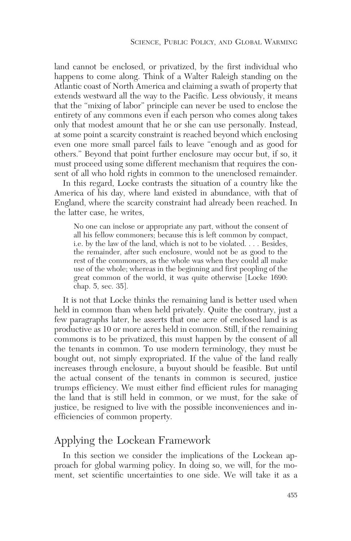land cannot be enclosed, or privatized, by the first individual who happens to come along. Think of a Walter Raleigh standing on the Atlantic coast of North America and claiming a swath of property that extends westward all the way to the Pacific. Less obviously, it means that the "mixing of labor" principle can never be used to enclose the entirety of any commons even if each person who comes along takes only that modest amount that he or she can use personally. Instead, at some point a scarcity constraint is reached beyond which enclosing even one more small parcel fails to leave "enough and as good for others." Beyond that point further enclosure may occur but, if so, it must proceed using some different mechanism that requires the consent of all who hold rights in common to the unenclosed remainder.

In this regard, Locke contrasts the situation of a country like the America of his day, where land existed in abundance, with that of England, where the scarcity constraint had already been reached. In the latter case, he writes,

No one can inclose or appropriate any part, without the consent of all his fellow commoners; because this is left common by compact, i.e. by the law of the land, which is not to be violated.... Besides, the remainder, after such enclosure, would not be as good to the rest of the commoners, as the whole was when they could all make use of the whole; whereas in the beginning and first peopling of the great common of the world, it was quite otherwise [Locke 1690: chap. 5, sec. 35].

It is not that Locke thinks the remaining land is better used when held in common than when held privately. Quite the contrary, just a few paragraphs later, he asserts that one acre of enclosed land is as productive as 10 or more acres held in common. Still, if the remaining commons is to be privatized, this must happen by the consent of all the tenants in common. To use modern terminology, they must be bought out, not simply expropriated. If the value of the land really increases through enclosure, a buyout should be feasible. But until the actual consent of the tenants in common is secured, justice trumps efficiency. We must either find efficient rules for managing the land that is still held in common, or we must, for the sake of justice, be resigned to live with the possible inconveniences and inefficiencies of common property.

### Applying the Lockean Framework

In this section we consider the implications of the Lockean approach for global warming policy. In doing so, we will, for the moment, set scientific uncertainties to one side. We will take it as a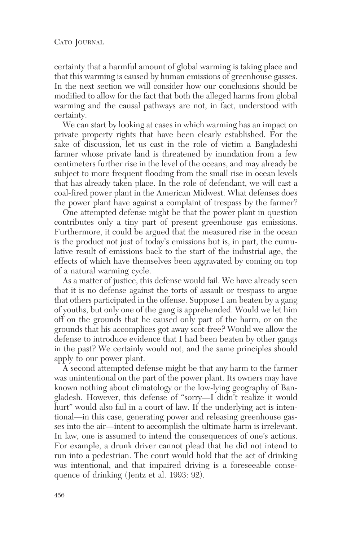certainty that a harmful amount of global warming is taking place and that this warming is caused by human emissions of greenhouse gasses. In the next section we will consider how our conclusions should be modified to allow for the fact that both the alleged harms from global warming and the causal pathways are not, in fact, understood with certainty.

We can start by looking at cases in which warming has an impact on private property rights that have been clearly established. For the sake of discussion, let us cast in the role of victim a Bangladeshi farmer whose private land is threatened by inundation from a few centimeters further rise in the level of the oceans, and may already be subject to more frequent flooding from the small rise in ocean levels that has already taken place. In the role of defendant, we will cast a coal-fired power plant in the American Midwest. What defenses does the power plant have against a complaint of trespass by the farmer?

One attempted defense might be that the power plant in question contributes only a tiny part of present greenhouse gas emissions. Furthermore, it could be argued that the measured rise in the ocean is the product not just of today's emissions but is, in part, the cumulative result of emissions back to the start of the industrial age, the effects of which have themselves been aggravated by coming on top of a natural warming cycle.

As a matter of justice, this defense would fail. We have already seen that it is no defense against the torts of assault or trespass to argue that others participated in the offense. Suppose I am beaten by a gang of youths, but only one of the gang is apprehended. Would we let him off on the grounds that he caused only part of the harm, or on the grounds that his accomplices got away scot-free? Would we allow the defense to introduce evidence that I had been beaten by other gangs in the past? We certainly would not, and the same principles should apply to our power plant.

A second attempted defense might be that any harm to the farmer was unintentional on the part of the power plant. Its owners may have known nothing about climatology or the low-lying geography of Bangladesh. However, this defense of "sorry—I didn't realize it would hurt" would also fail in a court of law. If the underlying act is intentional—in this case, generating power and releasing greenhouse gasses into the air—intent to accomplish the ultimate harm is irrelevant. In law, one is assumed to intend the consequences of one's actions. For example, a drunk driver cannot plead that he did not intend to run into a pedestrian. The court would hold that the act of drinking was intentional, and that impaired driving is a foreseeable consequence of drinking (Jentz et al. 1993: 92).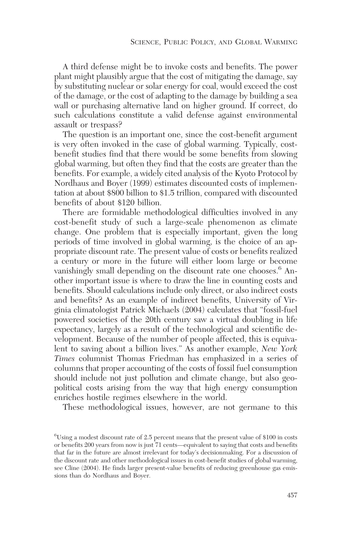A third defense might be to invoke costs and benefits. The power plant might plausibly argue that the cost of mitigating the damage, say by substituting nuclear or solar energy for coal, would exceed the cost of the damage, or the cost of adapting to the damage by building a sea wall or purchasing alternative land on higher ground. If correct, do such calculations constitute a valid defense against environmental assault or trespass?

The question is an important one, since the cost-benefit argument is very often invoked in the case of global warming. Typically, costbenefit studies find that there would be some benefits from slowing global warming, but often they find that the costs are greater than the benefits. For example, a widely cited analysis of the Kyoto Protocol by Nordhaus and Boyer (1999) estimates discounted costs of implementation at about \$800 billion to \$1.5 trillion, compared with discounted benefits of about \$120 billion.

There are formidable methodological difficulties involved in any cost-benefit study of such a large-scale phenomenon as climate change. One problem that is especially important, given the long periods of time involved in global warming, is the choice of an appropriate discount rate. The present value of costs or benefits realized a century or more in the future will either loom large or become vanishingly small depending on the discount rate one chooses.<sup>6</sup> Another important issue is where to draw the line in counting costs and benefits. Should calculations include only direct, or also indirect costs and benefits? As an example of indirect benefits, University of Virginia climatologist Patrick Michaels (2004) calculates that "fossil-fuel powered societies of the 20th century saw a virtual doubling in life expectancy, largely as a result of the technological and scientific development. Because of the number of people affected, this is equivalent to saving about a billion lives." As another example, *New York Times* columnist Thomas Friedman has emphasized in a series of columns that proper accounting of the costs of fossil fuel consumption should include not just pollution and climate change, but also geopolitical costs arising from the way that high energy consumption enriches hostile regimes elsewhere in the world.

These methodological issues, however, are not germane to this

<sup>6</sup> Using a modest discount rate of 2.5 percent means that the present value of \$100 in costs or benefits 200 years from now is just 71 cents—equivalent to saying that costs and benefits that far in the future are almost irrelevant for today's decisionmaking. For a discussion of the discount rate and other methodological issues in cost-benefit studies of global warming, see Cline (2004). He finds larger present-value benefits of reducing greenhouse gas emissions than do Nordhaus and Boyer.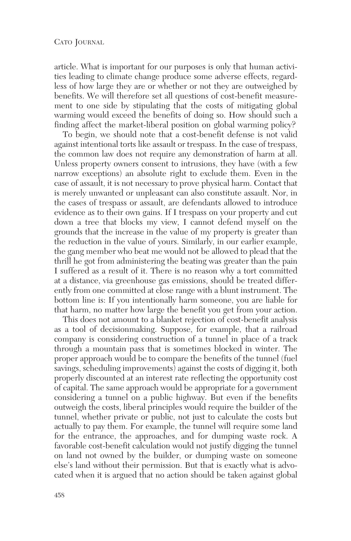article. What is important for our purposes is only that human activities leading to climate change produce some adverse effects, regardless of how large they are or whether or not they are outweighed by benefits. We will therefore set all questions of cost-benefit measurement to one side by stipulating that the costs of mitigating global warming would exceed the benefits of doing so. How should such a finding affect the market-liberal position on global warming policy?

To begin, we should note that a cost-benefit defense is not valid against intentional torts like assault or trespass. In the case of trespass, the common law does not require any demonstration of harm at all. Unless property owners consent to intrusions, they have (with a few narrow exceptions) an absolute right to exclude them. Even in the case of assault, it is not necessary to prove physical harm. Contact that is merely unwanted or unpleasant can also constitute assault. Nor, in the cases of trespass or assault, are defendants allowed to introduce evidence as to their own gains. If I trespass on your property and cut down a tree that blocks my view, I cannot defend myself on the grounds that the increase in the value of my property is greater than the reduction in the value of yours. Similarly, in our earlier example, the gang member who beat me would not be allowed to plead that the thrill he got from administering the beating was greater than the pain I suffered as a result of it. There is no reason why a tort committed at a distance, via greenhouse gas emissions, should be treated differently from one committed at close range with a blunt instrument. The bottom line is: If you intentionally harm someone, you are liable for that harm, no matter how large the benefit you get from your action.

This does not amount to a blanket rejection of cost-benefit analysis as a tool of decisionmaking. Suppose, for example, that a railroad company is considering construction of a tunnel in place of a track through a mountain pass that is sometimes blocked in winter. The proper approach would be to compare the benefits of the tunnel (fuel savings, scheduling improvements) against the costs of digging it, both properly discounted at an interest rate reflecting the opportunity cost of capital. The same approach would be appropriate for a government considering a tunnel on a public highway. But even if the benefits outweigh the costs, liberal principles would require the builder of the tunnel, whether private or public, not just to calculate the costs but actually to pay them. For example, the tunnel will require some land for the entrance, the approaches, and for dumping waste rock. A favorable cost-benefit calculation would not justify digging the tunnel on land not owned by the builder, or dumping waste on someone else's land without their permission. But that is exactly what is advocated when it is argued that no action should be taken against global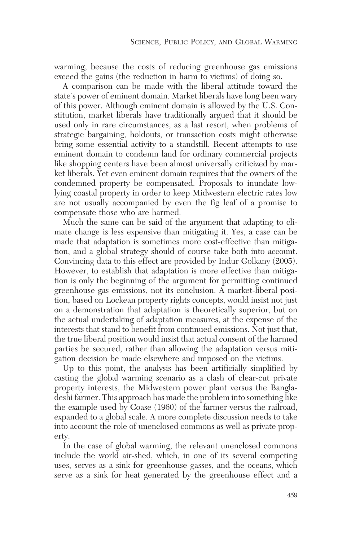warming, because the costs of reducing greenhouse gas emissions exceed the gains (the reduction in harm to victims) of doing so.

A comparison can be made with the liberal attitude toward the state's power of eminent domain. Market liberals have long been wary of this power. Although eminent domain is allowed by the U.S. Constitution, market liberals have traditionally argued that it should be used only in rare circumstances, as a last resort, when problems of strategic bargaining, holdouts, or transaction costs might otherwise bring some essential activity to a standstill. Recent attempts to use eminent domain to condemn land for ordinary commercial projects like shopping centers have been almost universally criticized by market liberals. Yet even eminent domain requires that the owners of the condemned property be compensated. Proposals to inundate lowlying coastal property in order to keep Midwestern electric rates low are not usually accompanied by even the fig leaf of a promise to compensate those who are harmed.

Much the same can be said of the argument that adapting to climate change is less expensive than mitigating it. Yes, a case can be made that adaptation is sometimes more cost-effective than mitigation, and a global strategy should of course take both into account. Convincing data to this effect are provided by Indur Golkany (2005). However, to establish that adaptation is more effective than mitigation is only the beginning of the argument for permitting continued greenhouse gas emissions, not its conclusion. A market-liberal position, based on Lockean property rights concepts, would insist not just on a demonstration that adaptation is theoretically superior, but on the actual undertaking of adaptation measures, at the expense of the interests that stand to benefit from continued emissions. Not just that, the true liberal position would insist that actual consent of the harmed parties be secured, rather than allowing the adaptation versus mitigation decision be made elsewhere and imposed on the victims.

Up to this point, the analysis has been artificially simplified by casting the global warming scenario as a clash of clear-cut private property interests, the Midwestern power plant versus the Bangladeshi farmer. This approach has made the problem into something like the example used by Coase (1960) of the farmer versus the railroad, expanded to a global scale. A more complete discussion needs to take into account the role of unenclosed commons as well as private property.

In the case of global warming, the relevant unenclosed commons include the world air-shed, which, in one of its several competing uses, serves as a sink for greenhouse gasses, and the oceans, which serve as a sink for heat generated by the greenhouse effect and a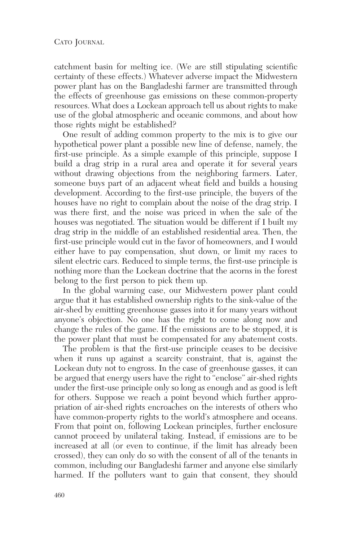catchment basin for melting ice. (We are still stipulating scientific certainty of these effects.) Whatever adverse impact the Midwestern power plant has on the Bangladeshi farmer are transmitted through the effects of greenhouse gas emissions on these common-property resources. What does a Lockean approach tell us about rights to make use of the global atmospheric and oceanic commons, and about how those rights might be established?

One result of adding common property to the mix is to give our hypothetical power plant a possible new line of defense, namely, the first-use principle. As a simple example of this principle, suppose I build a drag strip in a rural area and operate it for several years without drawing objections from the neighboring farmers. Later, someone buys part of an adjacent wheat field and builds a housing development. According to the first-use principle, the buyers of the houses have no right to complain about the noise of the drag strip. I was there first, and the noise was priced in when the sale of the houses was negotiated. The situation would be different if I built my drag strip in the middle of an established residential area. Then, the first-use principle would cut in the favor of homeowners, and I would either have to pay compensation, shut down, or limit my races to silent electric cars. Reduced to simple terms, the first-use principle is nothing more than the Lockean doctrine that the acorns in the forest belong to the first person to pick them up.

In the global warming case, our Midwestern power plant could argue that it has established ownership rights to the sink-value of the air-shed by emitting greenhouse gasses into it for many years without anyone's objection. No one has the right to come along now and change the rules of the game. If the emissions are to be stopped, it is the power plant that must be compensated for any abatement costs.

The problem is that the first-use principle ceases to be decisive when it runs up against a scarcity constraint, that is, against the Lockean duty not to engross. In the case of greenhouse gasses, it can be argued that energy users have the right to "enclose" air-shed rights under the first-use principle only so long as enough and as good is left for others. Suppose we reach a point beyond which further appropriation of air-shed rights encroaches on the interests of others who have common-property rights to the world's atmosphere and oceans. From that point on, following Lockean principles, further enclosure cannot proceed by unilateral taking. Instead, if emissions are to be increased at all (or even to continue, if the limit has already been crossed), they can only do so with the consent of all of the tenants in common, including our Bangladeshi farmer and anyone else similarly harmed. If the polluters want to gain that consent, they should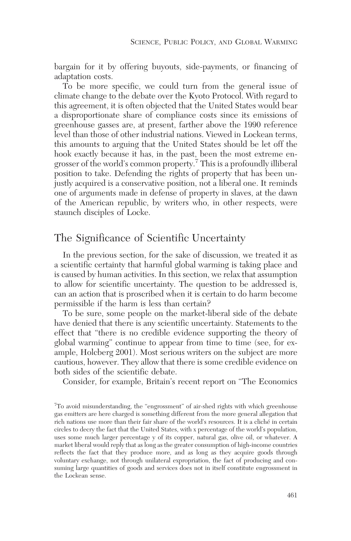bargain for it by offering buyouts, side-payments, or financing of adaptation costs.

To be more specific, we could turn from the general issue of climate change to the debate over the Kyoto Protocol. With regard to this agreement, it is often objected that the United States would bear a disproportionate share of compliance costs since its emissions of greenhouse gasses are, at present, farther above the 1990 reference level than those of other industrial nations. Viewed in Lockean terms, this amounts to arguing that the United States should be let off the hook exactly because it has, in the past, been the most extreme engrosser of the world's common property.7 This is a profoundly illiberal position to take. Defending the rights of property that has been unjustly acquired is a conservative position, not a liberal one. It reminds one of arguments made in defense of property in slaves, at the dawn of the American republic, by writers who, in other respects, were staunch disciples of Locke.

## The Significance of Scientific Uncertainty

In the previous section, for the sake of discussion, we treated it as a scientific certainty that harmful global warming is taking place and is caused by human activities. In this section, we relax that assumption to allow for scientific uncertainty. The question to be addressed is, can an action that is proscribed when it is certain to do harm become permissible if the harm is less than certain?

To be sure, some people on the market-liberal side of the debate have denied that there is any scientific uncertainty. Statements to the effect that "there is no credible evidence supporting the theory of global warming" continue to appear from time to time (see, for example, Holcberg 2001). Most serious writers on the subject are more cautious, however. They allow that there is some credible evidence on both sides of the scientific debate.

Consider, for example, Britain's recent report on "The Economics

<sup>&</sup>lt;sup>7</sup>To avoid misunderstanding, the "engrossment" of air-shed rights with which greenhouse gas emitters are here charged is something different from the more general allegation that rich nations use more than their fair share of the world's resources. It is a cliché in certain circles to decry the fact that the United States, with x percentage of the world's population, uses some much larger percentage y of its copper, natural gas, olive oil, or whatever. A market liberal would reply that as long as the greater consumption of high-income countries reflects the fact that they produce more, and as long as they acquire goods through voluntary exchange, not through unilateral expropriation, the fact of producing and consuming large quantities of goods and services does not in itself constitute engrossment in the Lockean sense.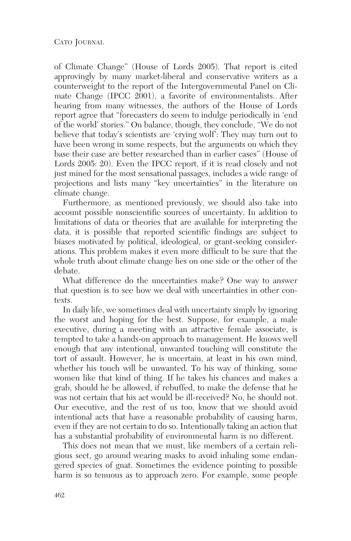of Climate Change" (House of Lords 2005). That report is cited approvingly by many market-liberal and conservative writers as a counterweight to the report of the Intergovernmental Panel on Climate Change (IPCC 2001), a favorite of environmentalists. After hearing from many witnesses, the authors of the House of Lords report agree that "forecasters do seem to indulge periodically in 'end of the world' stories." On balance, though, they conclude, "We do not believe that today's scientists are 'crying wolf': They may turn out to have been wrong in some respects, but the arguments on which they base their case are better researched than in earlier cases" (House of Lords 2005: 20). Even the IPCC report, if it is read closely and not just mined for the most sensational passages, includes a wide range of projections and lists many "key uncertainties" in the literature on climate change.

Furthermore, as mentioned previously, we should also take into account possible nonscientific sources of uncertainty. In addition to limitations of data or theories that are available for interpreting the data, it is possible that reported scientific findings are subject to biases motivated by political, ideological, or grant-seeking considerations. This problem makes it even more difficult to be sure that the whole truth about climate change lies on one side or the other of the debate.

What difference do the uncertainties make? One way to answer that question is to see how we deal with uncertainties in other contexts.

In daily life, we sometimes deal with uncertainty simply by ignoring the worst and hoping for the best. Suppose, for example, a male executive, during a meeting with an attractive female associate, is tempted to take a hands-on approach to management. He knows well enough that any intentional, unwanted touching will constitute the tort of assault. However, he is uncertain, at least in his own mind, whether his touch will be unwanted. To his way of thinking, some women like that kind of thing. If he takes his chances and makes a grab, should he be allowed, if rebuffed, to make the defense that he was not certain that his act would be ill-received? No, he should not. Our executive, and the rest of us too, know that we should avoid intentional acts that have a reasonable probability of causing harm, even if they are not certain to do so. Intentionally taking an action that has a substantial probability of environmental harm is no different.

This does not mean that we must, like members of a certain religious sect, go around wearing masks to avoid inhaling some endangered species of gnat. Sometimes the evidence pointing to possible harm is so tenuous as to approach zero. For example, some people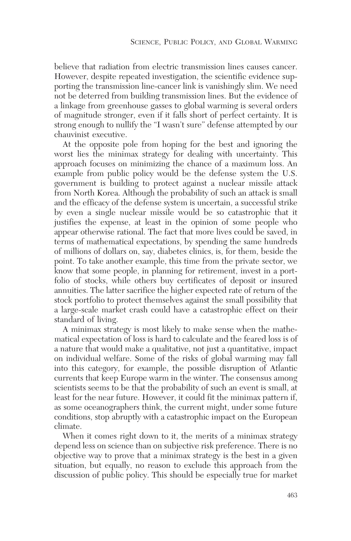believe that radiation from electric transmission lines causes cancer. However, despite repeated investigation, the scientific evidence supporting the transmission line-cancer link is vanishingly slim. We need not be deterred from building transmission lines. But the evidence of a linkage from greenhouse gasses to global warming is several orders of magnitude stronger, even if it falls short of perfect certainty. It is strong enough to nullify the "I wasn't sure" defense attempted by our chauvinist executive.

At the opposite pole from hoping for the best and ignoring the worst lies the minimax strategy for dealing with uncertainty. This approach focuses on minimizing the chance of a maximum loss. An example from public policy would be the defense system the U.S. government is building to protect against a nuclear missile attack from North Korea. Although the probability of such an attack is small and the efficacy of the defense system is uncertain, a successful strike by even a single nuclear missile would be so catastrophic that it justifies the expense, at least in the opinion of some people who appear otherwise rational. The fact that more lives could be saved, in terms of mathematical expectations, by spending the same hundreds of millions of dollars on, say, diabetes clinics, is, for them, beside the point. To take another example, this time from the private sector, we know that some people, in planning for retirement, invest in a portfolio of stocks, while others buy certificates of deposit or insured annuities. The latter sacrifice the higher expected rate of return of the stock portfolio to protect themselves against the small possibility that a large-scale market crash could have a catastrophic effect on their standard of living.

A minimax strategy is most likely to make sense when the mathematical expectation of loss is hard to calculate and the feared loss is of a nature that would make a qualitative, not just a quantitative, impact on individual welfare. Some of the risks of global warming may fall into this category, for example, the possible disruption of Atlantic currents that keep Europe warm in the winter. The consensus among scientists seems to be that the probability of such an event is small, at least for the near future. However, it could fit the minimax pattern if, as some oceanographers think, the current might, under some future conditions, stop abruptly with a catastrophic impact on the European climate.

When it comes right down to it, the merits of a minimax strategy depend less on science than on subjective risk preference. There is no objective way to prove that a minimax strategy is the best in a given situation, but equally, no reason to exclude this approach from the discussion of public policy. This should be especially true for market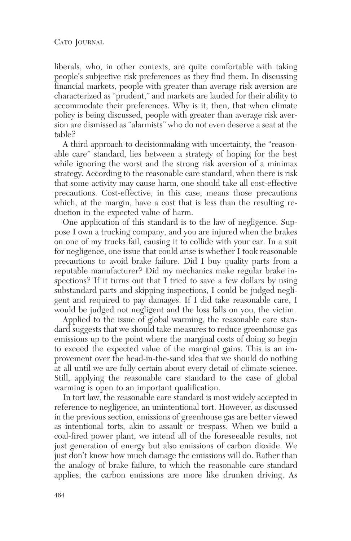liberals, who, in other contexts, are quite comfortable with taking people's subjective risk preferences as they find them. In discussing financial markets, people with greater than average risk aversion are characterized as "prudent," and markets are lauded for their ability to accommodate their preferences. Why is it, then, that when climate policy is being discussed, people with greater than average risk aversion are dismissed as "alarmists" who do not even deserve a seat at the table?

A third approach to decisionmaking with uncertainty, the "reasonable care" standard, lies between a strategy of hoping for the best while ignoring the worst and the strong risk aversion of a minimax strategy. According to the reasonable care standard, when there is risk that some activity may cause harm, one should take all cost-effective precautions. Cost-effective, in this case, means those precautions which, at the margin, have a cost that is less than the resulting reduction in the expected value of harm.

One application of this standard is to the law of negligence. Suppose I own a trucking company, and you are injured when the brakes on one of my trucks fail, causing it to collide with your car. In a suit for negligence, one issue that could arise is whether I took reasonable precautions to avoid brake failure. Did I buy quality parts from a reputable manufacturer? Did my mechanics make regular brake inspections? If it turns out that I tried to save a few dollars by using substandard parts and skipping inspections, I could be judged negligent and required to pay damages. If I did take reasonable care, I would be judged not negligent and the loss falls on you, the victim.

Applied to the issue of global warming, the reasonable care standard suggests that we should take measures to reduce greenhouse gas emissions up to the point where the marginal costs of doing so begin to exceed the expected value of the marginal gains. This is an improvement over the head-in-the-sand idea that we should do nothing at all until we are fully certain about every detail of climate science. Still, applying the reasonable care standard to the case of global warming is open to an important qualification.

In tort law, the reasonable care standard is most widely accepted in reference to negligence, an unintentional tort. However, as discussed in the previous section, emissions of greenhouse gas are better viewed as intentional torts, akin to assault or trespass. When we build a coal-fired power plant, we intend all of the foreseeable results, not just generation of energy but also emissions of carbon dioxide. We just don't know how much damage the emissions will do. Rather than the analogy of brake failure, to which the reasonable care standard applies, the carbon emissions are more like drunken driving. As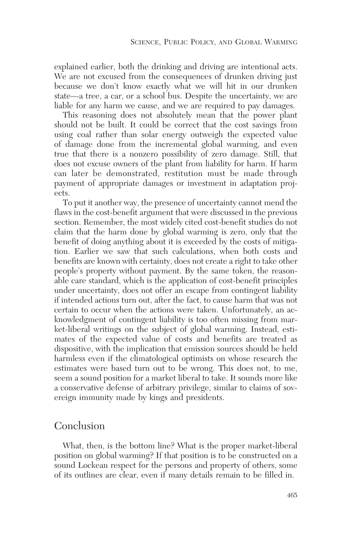explained earlier, both the drinking and driving are intentional acts. We are not excused from the consequences of drunken driving just because we don't know exactly what we will hit in our drunken state—a tree, a car, or a school bus. Despite the uncertainty, we are liable for any harm we cause, and we are required to pay damages.

This reasoning does not absolutely mean that the power plant should not be built. It could be correct that the cost savings from using coal rather than solar energy outweigh the expected value of damage done from the incremental global warming, and even true that there is a nonzero possibility of zero damage. Still, that does not excuse owners of the plant from liability for harm. If harm can later be demonstrated, restitution must be made through payment of appropriate damages or investment in adaptation projects.

To put it another way, the presence of uncertainty cannot mend the flaws in the cost-benefit argument that were discussed in the previous section. Remember, the most widely cited cost-benefit studies do not claim that the harm done by global warming is zero, only that the benefit of doing anything about it is exceeded by the costs of mitigation. Earlier we saw that such calculations, when both costs and benefits are known with certainty, does not create a right to take other people's property without payment. By the same token, the reasonable care standard, which is the application of cost-benefit principles under uncertainty, does not offer an escape from contingent liability if intended actions turn out, after the fact, to cause harm that was not certain to occur when the actions were taken. Unfortunately, an acknowledgment of contingent liability is too often missing from market-liberal writings on the subject of global warming. Instead, estimates of the expected value of costs and benefits are treated as dispositive, with the implication that emission sources should be held harmless even if the climatological optimists on whose research the estimates were based turn out to be wrong. This does not, to me, seem a sound position for a market liberal to take. It sounds more like a conservative defense of arbitrary privilege, similar to claims of sovereign immunity made by kings and presidents.

#### Conclusion

What, then, is the bottom line? What is the proper market-liberal position on global warming? If that position is to be constructed on a sound Lockean respect for the persons and property of others, some of its outlines are clear, even if many details remain to be filled in.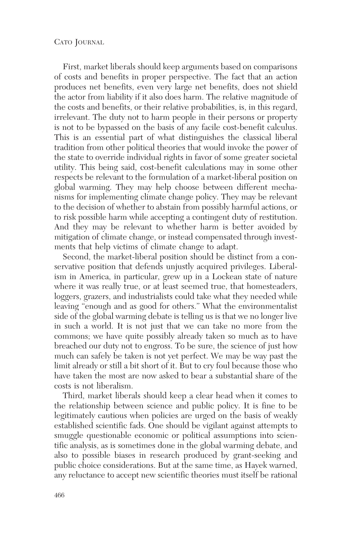#### CATO JOURNAL

First, market liberals should keep arguments based on comparisons of costs and benefits in proper perspective. The fact that an action produces net benefits, even very large net benefits, does not shield the actor from liability if it also does harm. The relative magnitude of the costs and benefits, or their relative probabilities, is, in this regard, irrelevant. The duty not to harm people in their persons or property is not to be bypassed on the basis of any facile cost-benefit calculus. This is an essential part of what distinguishes the classical liberal tradition from other political theories that would invoke the power of the state to override individual rights in favor of some greater societal utility. This being said, cost-benefit calculations may in some other respects be relevant to the formulation of a market-liberal position on global warming. They may help choose between different mechanisms for implementing climate change policy. They may be relevant to the decision of whether to abstain from possibly harmful actions, or to risk possible harm while accepting a contingent duty of restitution. And they may be relevant to whether harm is better avoided by mitigation of climate change, or instead compensated through investments that help victims of climate change to adapt.

Second, the market-liberal position should be distinct from a conservative position that defends unjustly acquired privileges. Liberalism in America, in particular, grew up in a Lockean state of nature where it was really true, or at least seemed true, that homesteaders, loggers, grazers, and industrialists could take what they needed while leaving "enough and as good for others." What the environmentalist side of the global warming debate is telling us is that we no longer live in such a world. It is not just that we can take no more from the commons; we have quite possibly already taken so much as to have breached our duty not to engross. To be sure, the science of just how much can safely be taken is not yet perfect. We may be way past the limit already or still a bit short of it. But to cry foul because those who have taken the most are now asked to bear a substantial share of the costs is not liberalism.

Third, market liberals should keep a clear head when it comes to the relationship between science and public policy. It is fine to be legitimately cautious when policies are urged on the basis of weakly established scientific fads. One should be vigilant against attempts to smuggle questionable economic or political assumptions into scientific analysis, as is sometimes done in the global warming debate, and also to possible biases in research produced by grant-seeking and public choice considerations. But at the same time, as Hayek warned, any reluctance to accept new scientific theories must itself be rational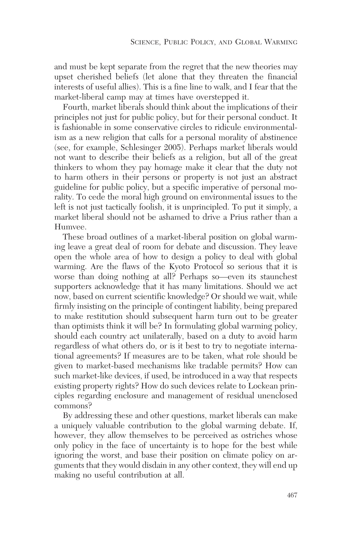and must be kept separate from the regret that the new theories may upset cherished beliefs (let alone that they threaten the financial interests of useful allies). This is a fine line to walk, and I fear that the market-liberal camp may at times have overstepped it.

Fourth, market liberals should think about the implications of their principles not just for public policy, but for their personal conduct. It is fashionable in some conservative circles to ridicule environmentalism as a new religion that calls for a personal morality of abstinence (see, for example, Schlesinger 2005). Perhaps market liberals would not want to describe their beliefs as a religion, but all of the great thinkers to whom they pay homage make it clear that the duty not to harm others in their persons or property is not just an abstract guideline for public policy, but a specific imperative of personal morality. To cede the moral high ground on environmental issues to the left is not just tactically foolish, it is unprincipled. To put it simply, a market liberal should not be ashamed to drive a Prius rather than a Humvee.

These broad outlines of a market-liberal position on global warming leave a great deal of room for debate and discussion. They leave open the whole area of how to design a policy to deal with global warming. Are the flaws of the Kyoto Protocol so serious that it is worse than doing nothing at all? Perhaps so—even its staunchest supporters acknowledge that it has many limitations. Should we act now, based on current scientific knowledge? Or should we wait, while firmly insisting on the principle of contingent liability, being prepared to make restitution should subsequent harm turn out to be greater than optimists think it will be? In formulating global warming policy, should each country act unilaterally, based on a duty to avoid harm regardless of what others do, or is it best to try to negotiate international agreements? If measures are to be taken, what role should be given to market-based mechanisms like tradable permits? How can such market-like devices, if used, be introduced in a way that respects existing property rights? How do such devices relate to Lockean principles regarding enclosure and management of residual unenclosed commons?

By addressing these and other questions, market liberals can make a uniquely valuable contribution to the global warming debate. If, however, they allow themselves to be perceived as ostriches whose only policy in the face of uncertainty is to hope for the best while ignoring the worst, and base their position on climate policy on arguments that they would disdain in any other context, they will end up making no useful contribution at all.